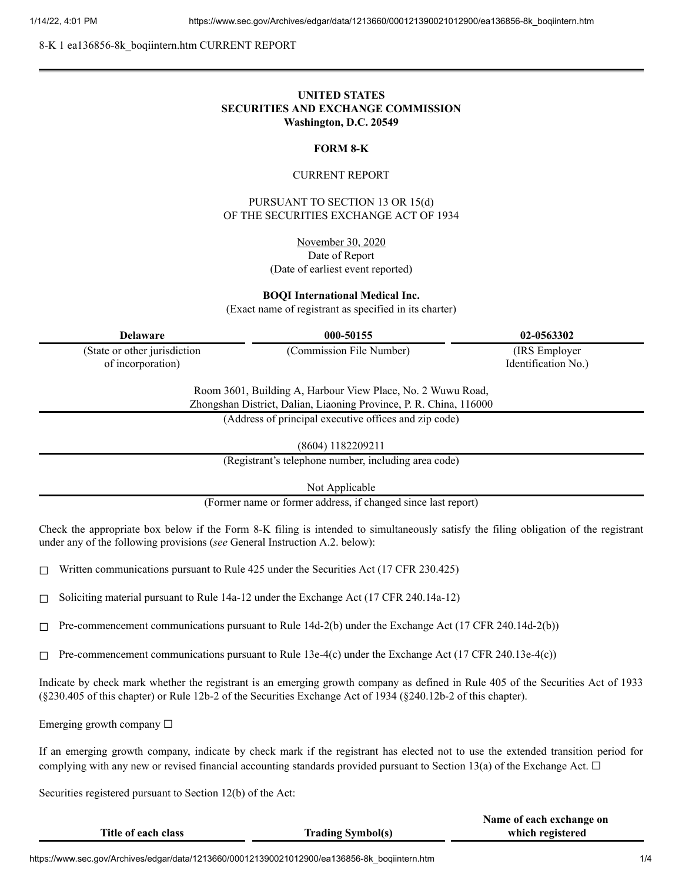8-K 1 ea136856-8k\_boqiintern.htm CURRENT REPORT

# **UNITED STATES SECURITIES AND EXCHANGE COMMISSION Washington, D.C. 20549**

## **FORM 8-K**

## CURRENT REPORT

PURSUANT TO SECTION 13 OR 15(d) OF THE SECURITIES EXCHANGE ACT OF 1934

> November 30, 2020 Date of Report (Date of earliest event reported)

**BOQI International Medical Inc.**

(Exact name of registrant as specified in its charter)

| <b>Delaware</b>                                                                                                                   | 000-50155                                             | 02-0563302          |  |
|-----------------------------------------------------------------------------------------------------------------------------------|-------------------------------------------------------|---------------------|--|
| (State or other jurisdiction                                                                                                      | (Commission File Number)                              | (IRS Employer)      |  |
| of incorporation)                                                                                                                 |                                                       | Identification No.) |  |
| Room 3601, Building A, Harbour View Place, No. 2 Wuwu Road,<br>Zhongshan District, Dalian, Liaoning Province, P. R. China, 116000 |                                                       |                     |  |
|                                                                                                                                   | (Address of principal executive offices and zip code) |                     |  |

(8604) 1182209211

(Registrant's telephone number, including area code)

Not Applicable

(Former name or former address, if changed since last report)

Check the appropriate box below if the Form 8-K filing is intended to simultaneously satisfy the filing obligation of the registrant under any of the following provisions (*see* General Instruction A.2. below):

☐ Written communications pursuant to Rule 425 under the Securities Act (17 CFR 230.425)

☐ Soliciting material pursuant to Rule 14a-12 under the Exchange Act (17 CFR 240.14a-12)

 $\Box$  Pre-commencement communications pursuant to Rule 14d-2(b) under the Exchange Act (17 CFR 240.14d-2(b))

 $\Box$  Pre-commencement communications pursuant to Rule 13e-4(c) under the Exchange Act (17 CFR 240.13e-4(c))

Indicate by check mark whether the registrant is an emerging growth company as defined in Rule 405 of the Securities Act of 1933 (§230.405 of this chapter) or Rule 12b-2 of the Securities Exchange Act of 1934 (§240.12b-2 of this chapter).

Emerging growth company  $\Box$ 

If an emerging growth company, indicate by check mark if the registrant has elected not to use the extended transition period for complying with any new or revised financial accounting standards provided pursuant to Section 13(a) of the Exchange Act.  $\Box$ 

Securities registered pursuant to Section 12(b) of the Act:

|                     |                          | Name of each exchange on |
|---------------------|--------------------------|--------------------------|
| Title of each class | <b>Trading Symbol(s)</b> | which registered         |
|                     |                          |                          |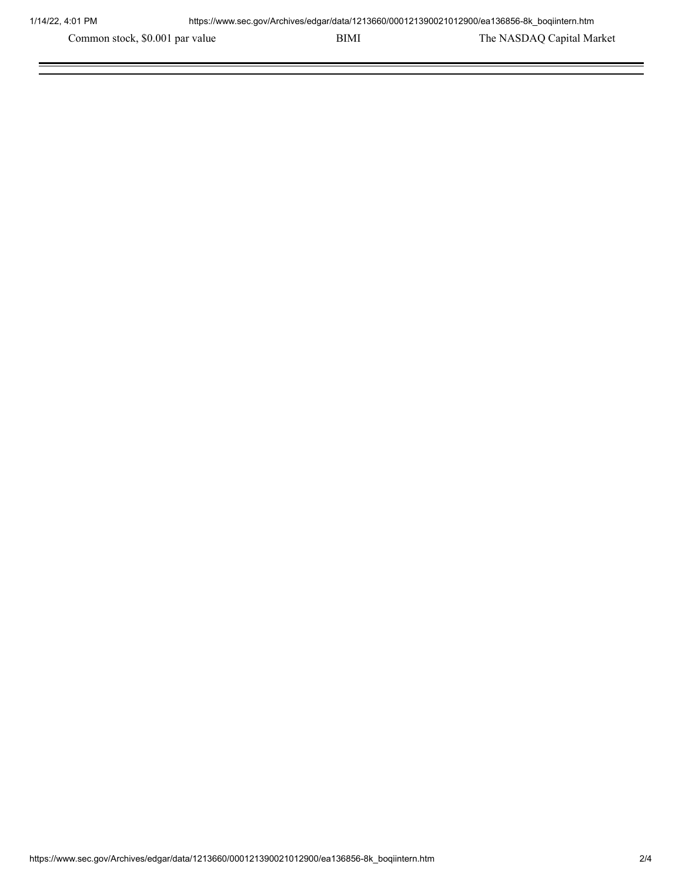Common stock, \$0.001 par value BIMI BIMI The NASDAQ Capital Market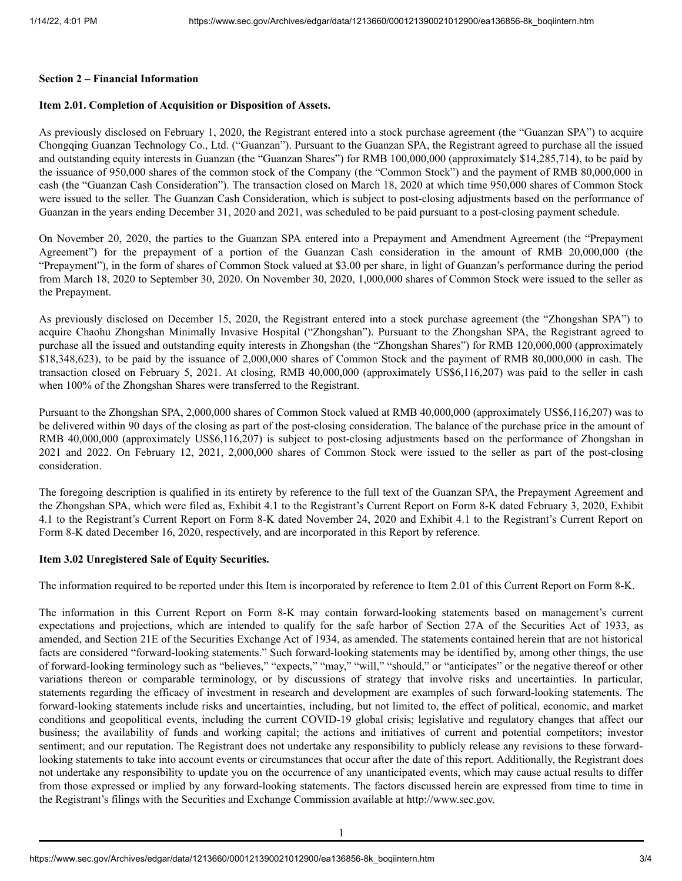#### **Section 2 – Financial Information**

## **Item 2.01. Completion of Acquisition or Disposition of Assets.**

As previously disclosed on February 1, 2020, the Registrant entered into a stock purchase agreement (the "Guanzan SPA") to acquire Chongqing Guanzan Technology Co., Ltd. ("Guanzan"). Pursuant to the Guanzan SPA, the Registrant agreed to purchase all the issued and outstanding equity interests in Guanzan (the "Guanzan Shares") for RMB 100,000,000 (approximately \$14,285,714), to be paid by the issuance of 950,000 shares of the common stock of the Company (the "Common Stock") and the payment of RMB 80,000,000 in cash (the "Guanzan Cash Consideration"). The transaction closed on March 18, 2020 at which time 950,000 shares of Common Stock were issued to the seller. The Guanzan Cash Consideration, which is subject to post-closing adjustments based on the performance of Guanzan in the years ending December 31, 2020 and 2021, was scheduled to be paid pursuant to a post-closing payment schedule.

On November 20, 2020, the parties to the Guanzan SPA entered into a Prepayment and Amendment Agreement (the "Prepayment Agreement") for the prepayment of a portion of the Guanzan Cash consideration in the amount of RMB 20,000,000 (the "Prepayment"), in the form of shares of Common Stock valued at \$3.00 per share, in light of Guanzan's performance during the period from March 18, 2020 to September 30, 2020. On November 30, 2020, 1,000,000 shares of Common Stock were issued to the seller as the Prepayment.

As previously disclosed on December 15, 2020, the Registrant entered into a stock purchase agreement (the "Zhongshan SPA") to acquire Chaohu Zhongshan Minimally Invasive Hospital ("Zhongshan"). Pursuant to the Zhongshan SPA, the Registrant agreed to purchase all the issued and outstanding equity interests in Zhongshan (the "Zhongshan Shares") for RMB 120,000,000 (approximately \$18,348,623), to be paid by the issuance of 2,000,000 shares of Common Stock and the payment of RMB 80,000,000 in cash. The transaction closed on February 5, 2021. At closing, RMB 40,000,000 (approximately US\$6,116,207) was paid to the seller in cash when 100% of the Zhongshan Shares were transferred to the Registrant.

Pursuant to the Zhongshan SPA, 2,000,000 shares of Common Stock valued at RMB 40,000,000 (approximately US\$6,116,207) was to be delivered within 90 days of the closing as part of the post-closing consideration. The balance of the purchase price in the amount of RMB 40,000,000 (approximately US\$6,116,207) is subject to post-closing adjustments based on the performance of Zhongshan in 2021 and 2022. On February 12, 2021, 2,000,000 shares of Common Stock were issued to the seller as part of the post-closing consideration.

The foregoing description is qualified in its entirety by reference to the full text of the Guanzan SPA, the Prepayment Agreement and the Zhongshan SPA, which were filed as, Exhibit 4.1 to the Registrant's Current Report on Form 8-K dated February 3, 2020, Exhibit 4.1 to the Registrant's Current Report on Form 8-K dated November 24, 2020 and Exhibit 4.1 to the Registrant's Current Report on Form 8-K dated December 16, 2020, respectively, and are incorporated in this Report by reference.

# **Item 3.02 Unregistered Sale of Equity Securities.**

The information required to be reported under this Item is incorporated by reference to Item 2.01 of this Current Report on Form 8-K.

The information in this Current Report on Form 8-K may contain forward-looking statements based on management's current expectations and projections, which are intended to qualify for the safe harbor of Section 27A of the Securities Act of 1933, as amended, and Section 21E of the Securities Exchange Act of 1934, as amended. The statements contained herein that are not historical facts are considered "forward-looking statements." Such forward-looking statements may be identified by, among other things, the use of forward-looking terminology such as "believes," "expects," "may," "will," "should," or "anticipates" or the negative thereof or other variations thereon or comparable terminology, or by discussions of strategy that involve risks and uncertainties. In particular, statements regarding the efficacy of investment in research and development are examples of such forward-looking statements. The forward-looking statements include risks and uncertainties, including, but not limited to, the effect of political, economic, and market conditions and geopolitical events, including the current COVID-19 global crisis; legislative and regulatory changes that affect our business; the availability of funds and working capital; the actions and initiatives of current and potential competitors; investor sentiment; and our reputation. The Registrant does not undertake any responsibility to publicly release any revisions to these forwardlooking statements to take into account events or circumstances that occur after the date of this report. Additionally, the Registrant does not undertake any responsibility to update you on the occurrence of any unanticipated events, which may cause actual results to differ from those expressed or implied by any forward-looking statements. The factors discussed herein are expressed from time to time in the Registrant's filings with the Securities and Exchange Commission available at http://www.sec.gov.